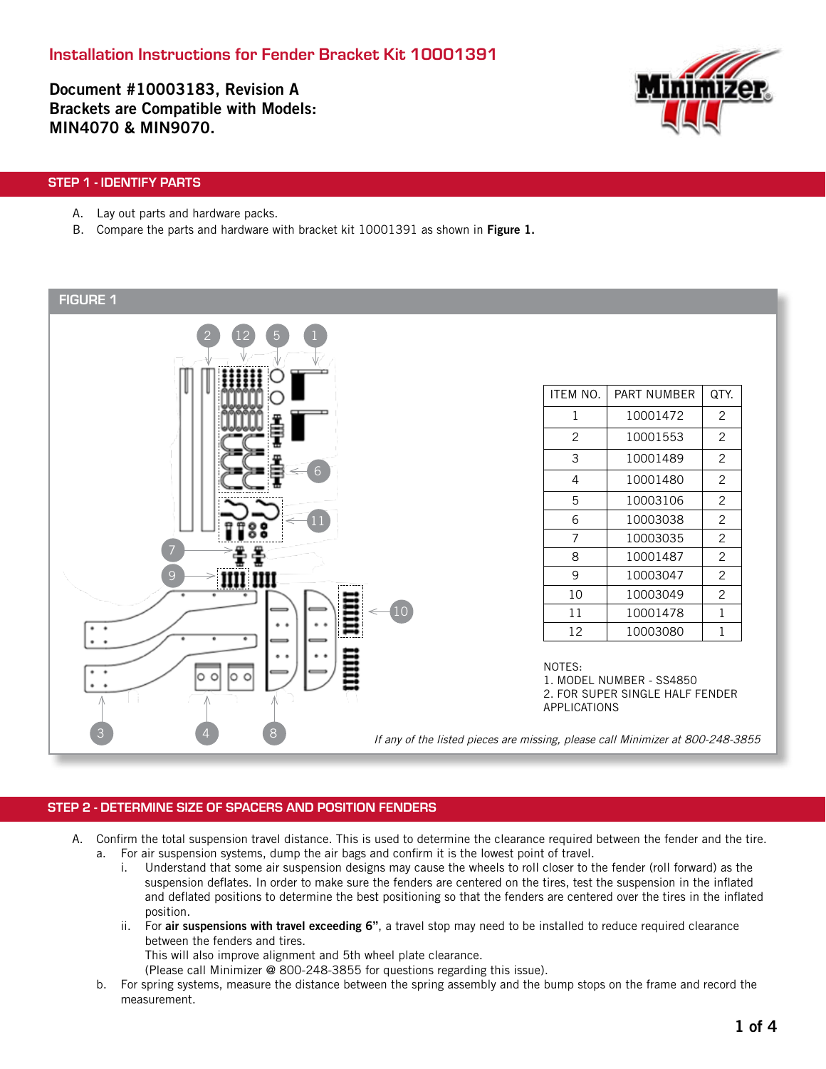Document #10003183, Revision A Brackets are Compatible with Models: MIN4070 & MIN9070.



### STEP 1 - IDENTIFY PARTS

- A. Lay out parts and hardware packs.
- B. Compare the parts and hardware with bracket kit 10001391 as shown in Figure 1.

#### FIGURE 1 2 (12) (5) (1 5 ITEM NO. | PART NUMBER | QTY.  $1 \mid 10001472 \mid 2$ 2 10001553 2 3 10001489 2 6 4 10001480 2 5 10003106 2  $6 \mid 10003038 \mid 2$ 11 7 | 10003035 | 2 7 8 10001487 2 9 | 10003047 | 2 9 10 | 10003049 | 2 10 11 | 10001478 | 1 12 | 10003080 | 1 NOTES: O  $\circ$  $\circ$ 1. MODEL NUMBER - SS4850 2. FOR SUPER SINGLE HALF FENDER APPLICATIONS3 4 8 If any of the listed pieces are missing, please call Minimizer at 800-248-3855

#### STEP 2 - DETERMINE SIZE OF SPACERS AND POSITION FENDERS

- A. Confirm the total suspension travel distance. This is used to determine the clearance required between the fender and the tire. a. For air suspension systems, dump the air bags and confirm it is the lowest point of travel.
	- i. Understand that some air suspension designs may cause the wheels to roll closer to the fender (roll forward) as the suspension deflates. In order to make sure the fenders are centered on the tires, test the suspension in the inflated and deflated positions to determine the best positioning so that the fenders are centered over the tires in the inflated position.
	- ii. For air suspensions with travel exceeding 6", a travel stop may need to be installed to reduce required clearance between the fenders and tires.

This will also improve alignment and 5th wheel plate clearance.

(Please call Minimizer @ 800-248-3855 for questions regarding this issue).

b. For spring systems, measure the distance between the spring assembly and the bump stops on the frame and record the measurement.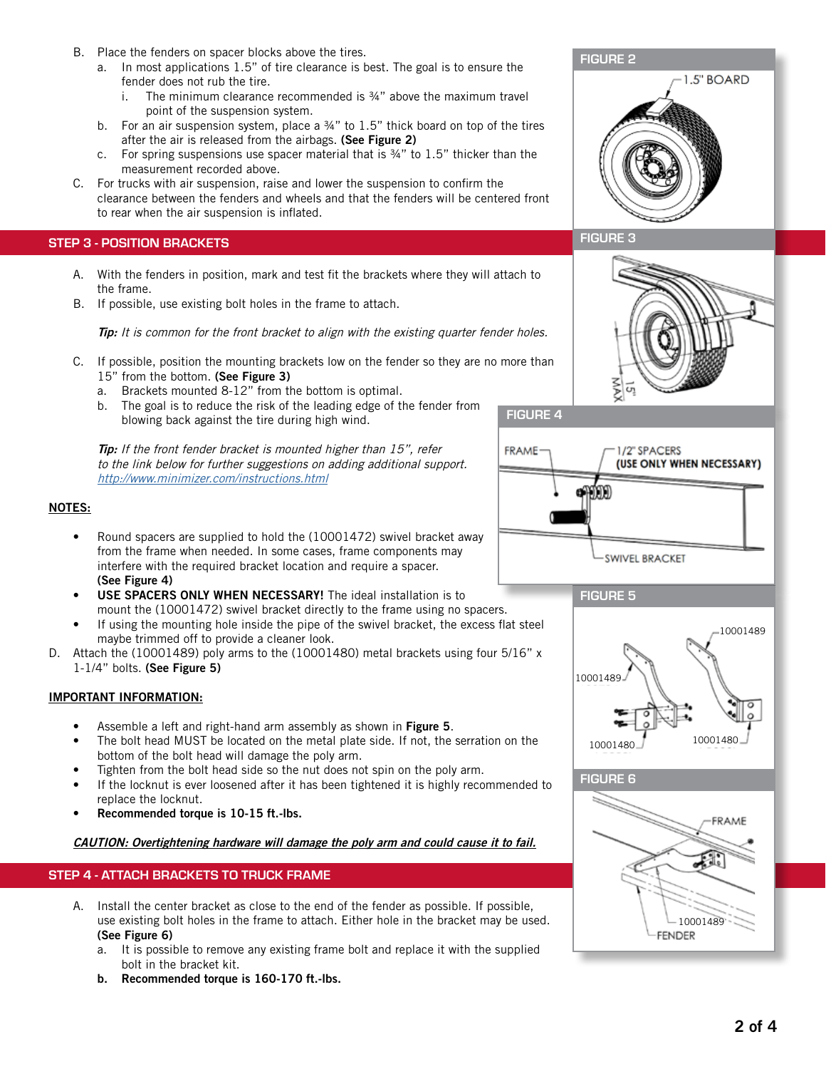- B. Place the fenders on spacer blocks above the tires.
	- a. In most applications 1.5" of tire clearance is best. The goal is to ensure the fender does not rub the tire.
		- i. The minimum clearance recommended is  $\frac{3}{4}$ " above the maximum travel point of the suspension system.
	- b. For an air suspension system, place a  $\frac{3}{4}$ " to 1.5" thick board on top of the tires after the air is released from the airbags. (See Figure 2)
	- c. For spring suspensions use spacer material that is ¾" to 1.5" thicker than the measurement recorded above.
- C. For trucks with air suspension, raise and lower the suspension to confirm the clearance between the fenders and wheels and that the fenders will be centered front to rear when the air suspension is inflated.

#### STEP 3 - POSITION BRACKETS

- A. With the fenders in position, mark and test fit the brackets where they will attach to the frame.
- B. If possible, use existing bolt holes in the frame to attach.

Tip: It is common for the front bracket to align with the existing quarter fender holes.

- C. If possible, position the mounting brackets low on the fender so they are no more than 15" from the bottom. (See Figure 3)
	- a. Brackets mounted 8-12" from the bottom is optimal.
	- b. The goal is to reduce the risk of the leading edge of the fender from blowing back against the tire during high wind.

Tip: If the front fender bracket is mounted higher than 15", refer to the link below for further suggestions on adding additional support. http://www.minimizer.com/instructions.html

# NAX  $\overline{G}$ FIGURE 4 FRAME-1/2" SPACERS (USE ONLY WHEN NECESSARY)

**SWIVEL BRACKET** 

- Round spacers are supplied to hold the (10001472) swivel bracket away from the frame when needed. In some cases, frame components may interfere with the required bracket location and require a spacer.
- (See Figure 4) USE SPACERS ONLY WHEN NECESSARY! The ideal installation is to mount the (10001472) swivel bracket directly to the frame using no spacers.
- If using the mounting hole inside the pipe of the swivel bracket, the excess flat steel maybe trimmed off to provide a cleaner look.
- D. Attach the (10001489) poly arms to the (10001480) metal brackets using four 5/16" x 1-1/4" bolts. (See Figure 5)

# IMPORTANT INFORMATION:

NOTES:

- Assemble a left and right-hand arm assembly as shown in Figure 5.
- The bolt head MUST be located on the metal plate side. If not, the serration on the bottom of the bolt head will damage the poly arm.
- Tighten from the bolt head side so the nut does not spin on the poly arm.
- If the locknut is ever loosened after it has been tightened it is highly recommended to replace the locknut.
- Recommended torque is 10-15 ft.-lbs.

CAUTION: Overtightening hardware will damage the poly arm and could cause it to fail.

# STEP 4 - ATTACH BRACKETS TO TRUCK FRAME

- A. Install the center bracket as close to the end of the fender as possible. If possible, use existing bolt holes in the frame to attach. Either hole in the bracket may be used. (See Figure 6)
	- a. It is possible to remove any existing frame bolt and replace it with the supplied bolt in the bracket kit.
	- b. Recommended torque is 160-170 ft.-lbs.



FIGURE 5







1.5" BOARD



FIGURE 2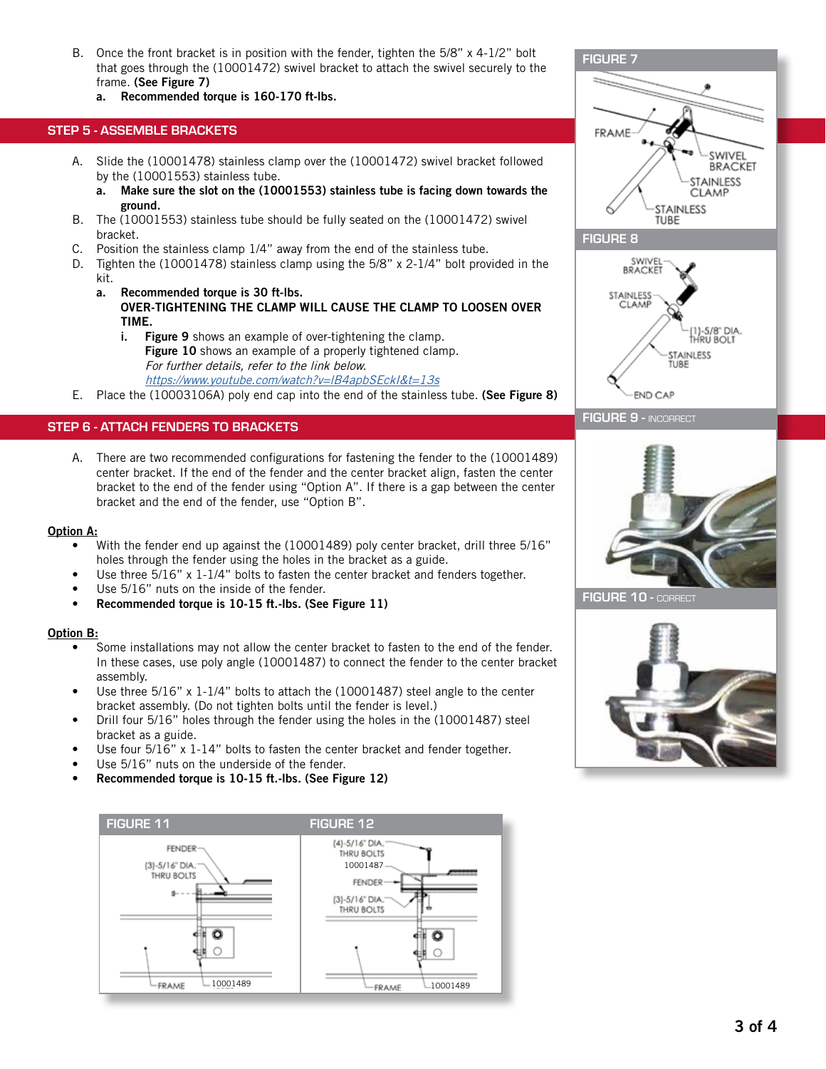- B. Once the front bracket is in position with the fender, tighten the 5/8" x 4-1/2" bolt that goes through the (10001472) swivel bracket to attach the swivel securely to the frame. (See Figure 7)
	- a. Recommended torque is 160-170 ft-lbs.

#### STEP 5 - ASSEMBLE BRACKETS

- A. Slide the (10001478) stainless clamp over the (10001472) swivel bracket followed by the (10001553) stainless tube.
	- a. Make sure the slot on the (10001553) stainless tube is facing down towards the ground.
- B. The (10001553) stainless tube should be fully seated on the (10001472) swivel bracket.
- C. Position the stainless clamp 1/4" away from the end of the stainless tube.
- D. Tighten the (10001478) stainless clamp using the 5/8" x 2-1/4" bolt provided in the kit.
	- a. Recommended torque is 30 ft-lbs. OVER-TIGHTENING THE CLAMP WILL CAUSE THE CLAMP TO LOOSEN OVER TIME.
		- i. Figure 9 shows an example of over-tightening the clamp. Figure 10 shows an example of a properly tightened clamp. For further details, refer to the link below. <https://www.youtube.com/watch?v=lB4apbSEckI&t=13s>
- E. Place the (10003106A) poly end cap into the end of the stainless tube. (See Figure 8)

#### STEP 6 - ATTACH FENDERS TO BRACKETS

A. There are two recommended configurations for fastening the fender to the (10001489) center bracket. If the end of the fender and the center bracket align, fasten the center bracket to the end of the fender using "Option A". If there is a gap between the center bracket and the end of the fender, use "Option B".

#### Option A:

- With the fender end up against the (10001489) poly center bracket, drill three 5/16" holes through the fender using the holes in the bracket as a guide.
- Use three 5/16" x 1-1/4" bolts to fasten the center bracket and fenders together.
- Use 5/16" nuts on the inside of the fender.
- Recommended torque is 10-15 ft.-lbs. (See Figure 11)

#### Option B:

- Some installations may not allow the center bracket to fasten to the end of the fender. In these cases, use poly angle (10001487) to connect the fender to the center bracket assembly.
- Use three  $5/16$ " x  $1-1/4$ " bolts to attach the (10001487) steel angle to the center bracket assembly. (Do not tighten bolts until the fender is level.)
- Drill four 5/16" holes through the fender using the holes in the (10001487) steel bracket as a guide.
- Use four 5/16" x 1-14" bolts to fasten the center bracket and fender together.
- Use 5/16" nuts on the underside of the fender.
- Recommended torque is 10-15 ft.-lbs. (See Figure 12)





FIGURE 10 - CORRECT